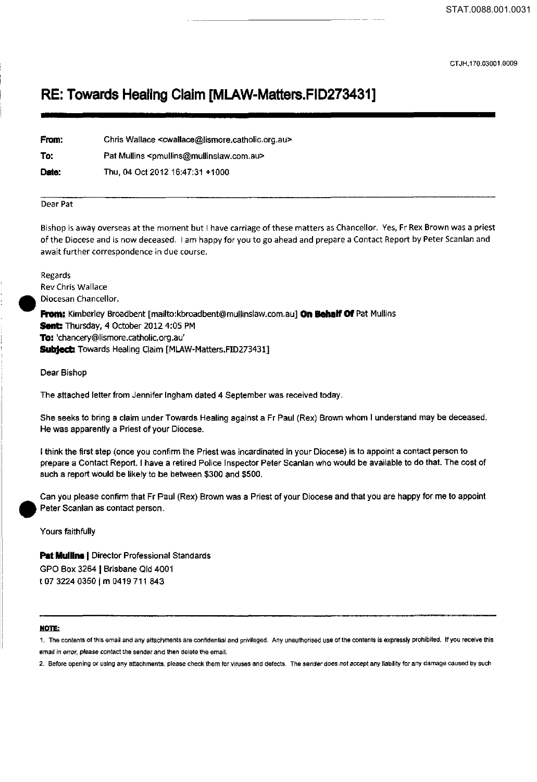CTJH.170.03001.0009

## **RE: Towards Healing Claim [MLAW-Matters.FID273431]**

| From: | Chris Wallace <cwallace@lismore.catholic.org.au></cwallace@lismore.catholic.org.au> |
|-------|-------------------------------------------------------------------------------------|
| To:   | Pat Mullins <pmullins@mullinslaw.com.au></pmullins@mullinslaw.com.au>               |
| Date: | Thu, 04 Oct 2012 16:47:31 +1000                                                     |

## Dear Pat

Bishop is away overseas at the moment but I have carriage of these matters as Chancellor. Yes, Fr Rex Brown was a priest of the Diocese and is now deceased. I am happy for you to go ahead and prepare a Contact Report by Peter Scanlan and await further correspondence in due course.

Regards Rev Chris Wallace • Diocesan Chancellor. **From:** Kimberley Broadbent [mailto:kbroadbent@mullinslaw.com.au] **On Behalf Of** Pat Mullins **Sent::** Thursday, 4 October 2012 4:05 PM **To:** 'chancery@lismore.catholic.org.au' **SUbject:** Towards Healing Claim [MLAW-Matters.FID273431]

Dear Bishop

The attached letter from Jennifer Ingham dated 4 September was received today.

She seeks to bring a claim under Towards Healing against a Fr Paul (Rex) Brown whom I understand may be deceased. He was apparently a Priest of your Diocese.

I think the first step (once you confirm the Priest was incardinated in your Diocese) is to appoint a contact person to prepare a Contact Report. I have a retired Police Inspector Peter Scanlan who would be available to do that. The cost of such a report would be likely to be between \$300 and \$500.

Can you please confirm that Fr Paul (Rex) Brown was a Priest of your Diocese and that you are happy for me to appoint Peter Scanlan as contact person.

Yours faithfully

**Pat Mullins** I Director Professional Standards GPO Box 3264 | Brisbane Qld 4001 t 07 3224 0350 | m 0419 711 843

## **NOTE:**

**1. The contents of this email and any attachments are confidential and privileged. Any unauthorised use of the contents is expressly prohibited. If you receive this emaif in error, please contact the sender and then delete the email.** 

**2. Before opening or using any attachments, please check them for viruses and defects. The sender does not accept any liability for any damage caused by such**